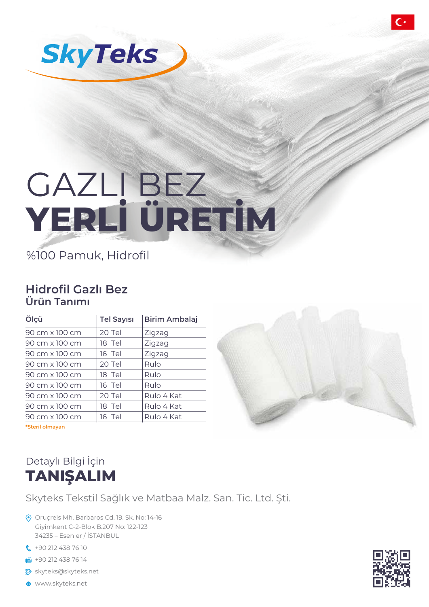

# GAZLI BEZ **YERLİ ÜRETİM**

%100 Pamuk, Hidrofil

#### **Hidrofil Gazlı Bez Ürün Tanımı**

| Ölçü            | <b>Tel Sayısı</b> | <b>Birim Ambalaj</b> |
|-----------------|-------------------|----------------------|
| 90 cm x 100 cm  | 20 Tel            | Zigzag               |
| 90 cm x 100 cm  | 18 Tel            | Zigzag               |
| 90 cm x 100 cm  | 16 Tel            | Zigzag               |
| 90 cm x 100 cm  | 20 Tel            | Rulo                 |
| 90 cm x 100 cm  | 18 Tel            | Rulo                 |
| 90 cm x 100 cm  | 16 Tel            | Rulo                 |
| 90 cm x 100 cm  | 20 Tel            | Rulo 4 Kat           |
| 90 cm x 100 cm  | 18 Tel            | Rulo 4 Kat           |
| 90 cm x 100 cm  | 16 Tel            | Rulo 4 Kat           |
| *Steril olmayan |                   |                      |



### Detaylı Bilgi İçin **TANIŞALIM**

Skyteks Tekstil Sağlık ve Matbaa Malz. San. Tic. Ltd. Şti.

- Oruçreis Mh. Barbaros Cd. 19. Sk. No: 14-16 Giyimkent C-2-Blok B.207 No: 122-123 34235 – Esenler / İSTANBUL
- **t** +90 212 438 76 10
- $+90$  212 438 76 14
- **参** skyteks@skyteks.net